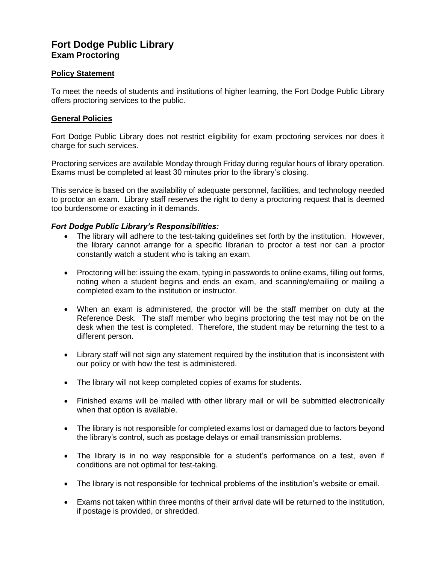# **Fort Dodge Public Library Exam Proctoring**

## **Policy Statement**

To meet the needs of students and institutions of higher learning, the Fort Dodge Public Library offers proctoring services to the public.

### **General Policies**

Fort Dodge Public Library does not restrict eligibility for exam proctoring services nor does it charge for such services.

Proctoring services are available Monday through Friday during regular hours of library operation. Exams must be completed at least 30 minutes prior to the library's closing.

This service is based on the availability of adequate personnel, facilities, and technology needed to proctor an exam. Library staff reserves the right to deny a proctoring request that is deemed too burdensome or exacting in it demands.

#### *Fort Dodge Public Library's Responsibilities:*

- The library will adhere to the test-taking guidelines set forth by the institution. However, the library cannot arrange for a specific librarian to proctor a test nor can a proctor constantly watch a student who is taking an exam.
- Proctoring will be: issuing the exam, typing in passwords to online exams, filling out forms, noting when a student begins and ends an exam, and scanning/emailing or mailing a completed exam to the institution or instructor.
- When an exam is administered, the proctor will be the staff member on duty at the Reference Desk. The staff member who begins proctoring the test may not be on the desk when the test is completed. Therefore, the student may be returning the test to a different person.
- Library staff will not sign any statement required by the institution that is inconsistent with our policy or with how the test is administered.
- The library will not keep completed copies of exams for students.
- Finished exams will be mailed with other library mail or will be submitted electronically when that option is available.
- The library is not responsible for completed exams lost or damaged due to factors beyond the library's control, such as postage delays or email transmission problems.
- The library is in no way responsible for a student's performance on a test, even if conditions are not optimal for test-taking.
- The library is not responsible for technical problems of the institution's website or email.
- Exams not taken within three months of their arrival date will be returned to the institution, if postage is provided, or shredded.